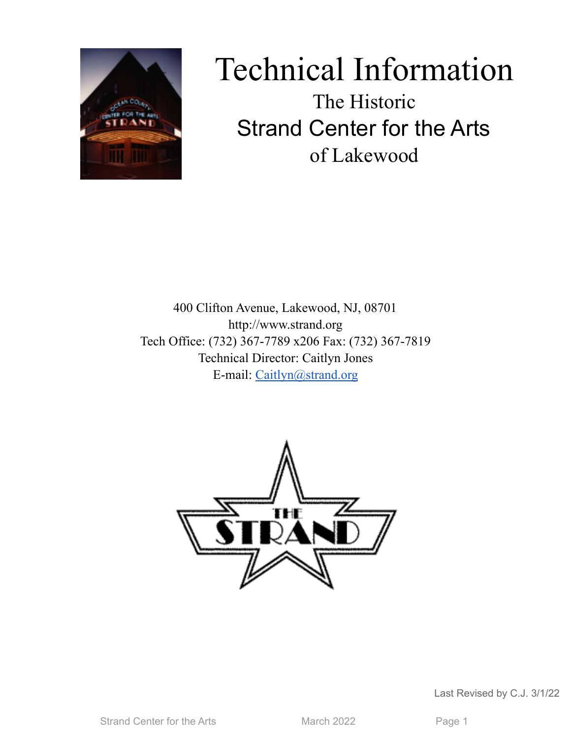

# Technical Information The Historic Strand Center for the Arts of Lakewood

400 Clifton Avenue, Lakewood, NJ, 08701 http://www.strand.org Tech Office: (732) 367-7789 x206 Fax: (732) 367-7819 Technical Director: Caitlyn Jones E-mail: [Caitlyn@strand.org](mailto:Caitlyn@strand.org)



Last Revised by C.J. 3/1/22

Strand Center for the Arts March 2022 Page 1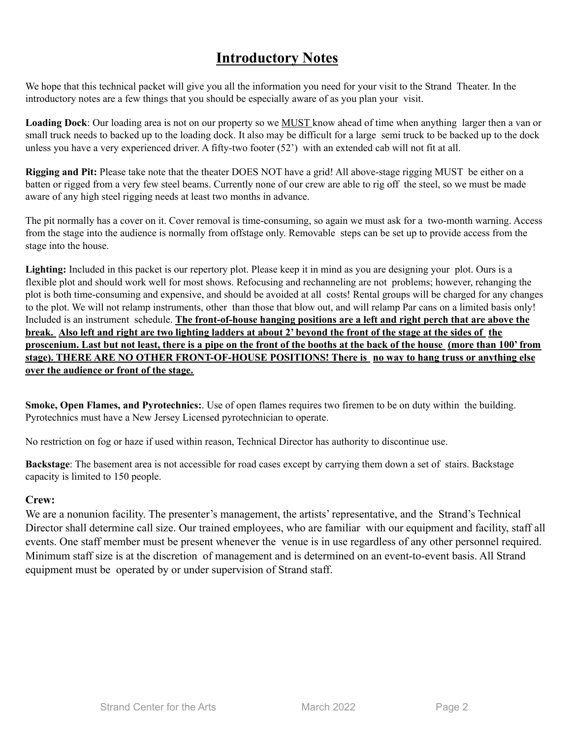# **Introductory Notes**

We hope that this technical packet will give you all the information you need for your visit to the Strand Theater. In the introductory notes are a few things that you should be especially aware of as you plan your visit.

**Loading Dock**: Our loading area is not on our property so we MUST know ahead of time when anything larger then a van or small truck needs to backed up to the loading dock. It also may be difficult for a large semi truck to be backed up to the dock unless you have a very experienced driver. A fifty-two footer (52') with an extended cab will not fit at all.

**Rigging and Pit:** Please take note that the theater DOES NOT have a grid! All above-stage rigging MUST be either on a batten or rigged from a very few steel beams. Currently none of our crew are able to rig off the steel, so we must be made aware of any high steel rigging needs at least two months in advance.

The pit normally has a cover on it. Cover removal is time-consuming, so again we must ask for a two-month warning. Access from the stage into the audience is normally from offstage only. Removable steps can be set up to provide access from the stage into the house.

**Lighting:** Included in this packet is our repertory plot. Please keep it in mind as you are designing your plot. Ours is a flexible plot and should work well for most shows. Refocusing and rechanneling are not problems; however, rehanging the plot is both time-consuming and expensive, and should be avoided at all costs! Rental groups will be charged for any changes to the plot. We will not relamp instruments, other than those that blow out, and will relamp Par cans on a limited basis only! Included is an instrument schedule. **The front-of-house hanging positions are a left and right perch that are above the** break. Also left and right are two lighting ladders at about 2' beyond the front of the stage at the sides of the proscenium. Last but not least, there is a pipe on the front of the booths at the back of the house (more than 100' from **stage). THERE ARE NO OTHER FRONT-OF-HOUSE POSITIONS! There is no way to hang truss or anything else over the audience or front of the stage.**

**Smoke, Open Flames, and Pyrotechnics:**. Use of open flames requires two firemen to be on duty within the building. Pyrotechnics must have a New Jersey Licensed pyrotechnician to operate.

No restriction on fog or haze if used within reason, Technical Director has authority to discontinue use.

**Backstage**: The basement area is not accessible for road cases except by carrying them down a set of stairs. Backstage capacity is limited to 150 people.

#### **Crew:**

We are a nonunion facility. The presenter's management, the artists' representative, and the Strand's Technical Director shall determine call size. Our trained employees, who are familiar with our equipment and facility, staff all events. One staff member must be present whenever the venue is in use regardless of any other personnel required. Minimum staff size is at the discretion of management and is determined on an event-to-event basis. All Strand equipment must be operated by or under supervision of Strand staff.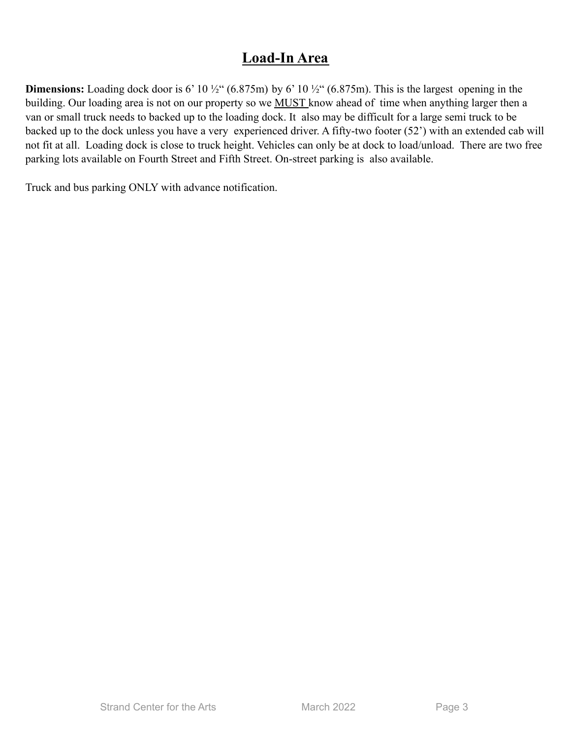# **Load-In Area**

**Dimensions:** Loading dock door is 6' 10  $\frac{1}{2}$ " (6.875m) by 6' 10  $\frac{1}{2}$ " (6.875m). This is the largest opening in the building. Our loading area is not on our property so we **MUST** know ahead of time when anything larger then a van or small truck needs to backed up to the loading dock. It also may be difficult for a large semi truck to be backed up to the dock unless you have a very experienced driver. A fifty-two footer (52') with an extended cab will not fit at all. Loading dock is close to truck height. Vehicles can only be at dock to load/unload. There are two free parking lots available on Fourth Street and Fifth Street. On-street parking is also available.

Truck and bus parking ONLY with advance notification.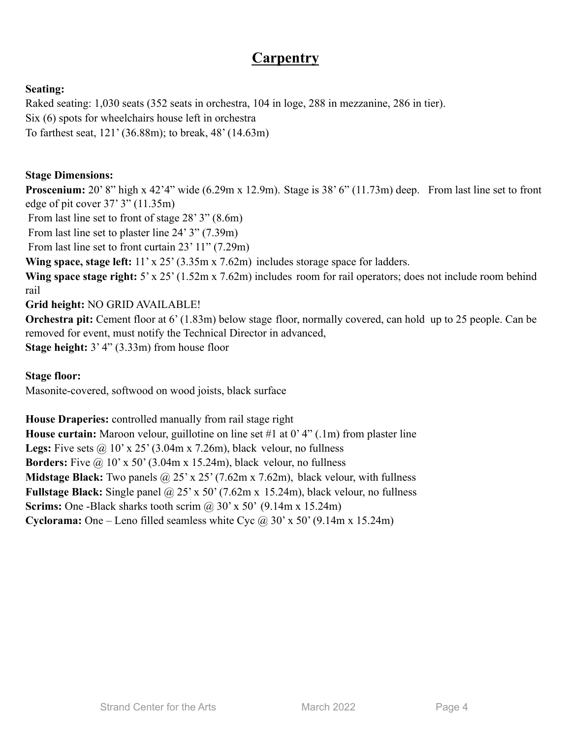# **Carpentry**

# **Seating:**

Raked seating: 1,030 seats (352 seats in orchestra, 104 in loge, 288 in mezzanine, 286 in tier). Six (6) spots for wheelchairs house left in orchestra To farthest seat, 121' (36.88m); to break, 48' (14.63m)

## **Stage Dimensions:**

**Proscenium:** 20' 8" high x 42'4" wide (6.29m x 12.9m). Stage is 38' 6" (11.73m) deep. From last line set to front edge of pit cover 37' 3" (11.35m)

From last line set to front of stage 28' 3" (8.6m)

From last line set to plaster line 24' 3" (7.39m)

From last line set to front curtain 23' 11" (7.29m)

**Wing space, stage left:** 11' x 25' (3.35m x 7.62m) includes storage space for ladders.

**Wing space stage right:** 5' x 25' (1.52m x 7.62m) includes room for rail operators; does not include room behind rail

**Grid height:** NO GRID AVAILABLE!

**Orchestra pit:** Cement floor at 6' (1.83m) below stage floor, normally covered, can hold up to 25 people. Can be removed for event, must notify the Technical Director in advanced, **Stage height:** 3' 4" (3.33m) from house floor

**Stage floor:**

Masonite-covered, softwood on wood joists, black surface

**House Draperies:** controlled manually from rail stage right

**House curtain:** Maroon velour, guillotine on line set #1 at 0' 4" (.1m) from plaster line **Legs:** Five sets  $\omega$  10' x 25' (3.04m x 7.26m), black velour, no fullness **Borders:** Five  $\omega$  10' x 50' (3.04m x 15.24m), black velour, no fullness **Midstage Black:** Two panels @ 25' x 25' (7.62m x 7.62m), black velour, with fullness **Fullstage Black:** Single panel @ 25' x 50' (7.62m x 15.24m), black velour, no fullness **Scrims:** One -Black sharks tooth scrim @ 30' x 50' (9.14m x 15.24m) **Cyclorama:** One – Leno filled seamless white Cyc  $\omega$  30' x 50' (9.14m x 15.24m)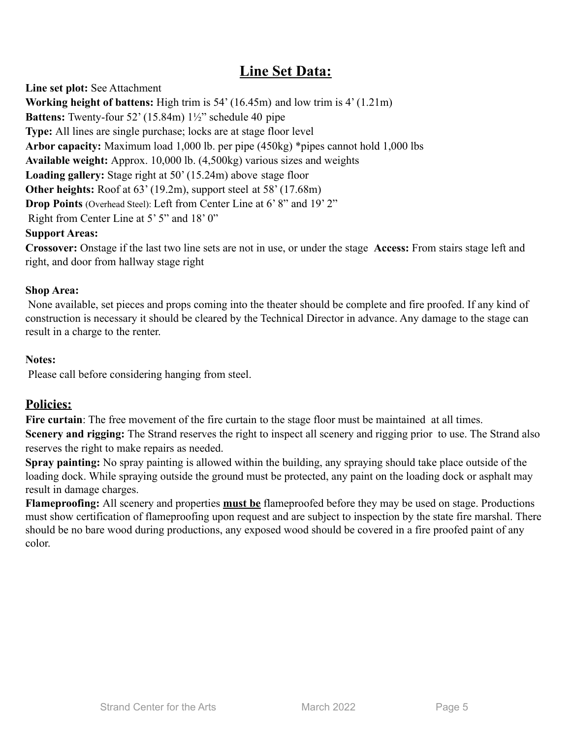# **Line Set Data:**

**Line set plot:** See Attachment **Working height of battens:** High trim is 54' (16.45m) and low trim is 4' (1.21m) **Battens:** Twenty-four 52' (15.84m) 1½" schedule 40 pipe **Type:** All lines are single purchase; locks are at stage floor level **Arbor capacity:** Maximum load 1,000 lb. per pipe (450kg) \*pipes cannot hold 1,000 lbs **Available weight:** Approx. 10,000 lb. (4,500kg) various sizes and weights **Loading gallery:** Stage right at 50' (15.24m) above stage floor **Other heights:** Roof at 63' (19.2m), support steel at 58' (17.68m) **Drop Points** (Overhead Steel): Left from Center Line at 6' 8" and 19' 2" Right from Center Line at 5' 5" and 18' 0"

## **Support Areas:**

**Crossover:** Onstage if the last two line sets are not in use, or under the stage **Access:** From stairs stage left and right, and door from hallway stage right

## **Shop Area:**

None available, set pieces and props coming into the theater should be complete and fire proofed. If any kind of construction is necessary it should be cleared by the Technical Director in advance. Any damage to the stage can result in a charge to the renter.

## **Notes:**

Please call before considering hanging from steel.

# **Policies:**

Fire curtain: The free movement of the fire curtain to the stage floor must be maintained at all times. **Scenery and rigging:** The Strand reserves the right to inspect all scenery and rigging prior to use. The Strand also reserves the right to make repairs as needed.

**Spray painting:** No spray painting is allowed within the building, any spraying should take place outside of the loading dock. While spraying outside the ground must be protected, any paint on the loading dock or asphalt may result in damage charges.

**Flameproofing:** All scenery and properties **must be** flameproofed before they may be used on stage. Productions must show certification of flameproofing upon request and are subject to inspection by the state fire marshal. There should be no bare wood during productions, any exposed wood should be covered in a fire proofed paint of any color.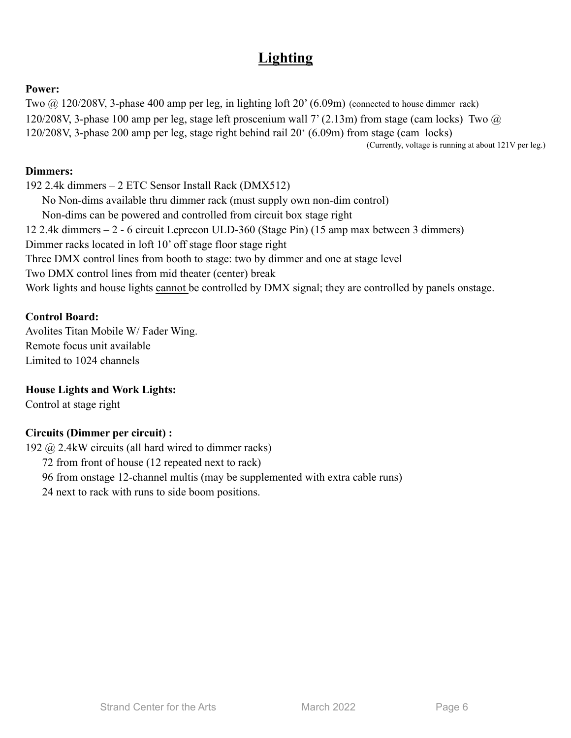# **Lighting**

#### **Power:**

Two @ 120/208V, 3-phase 400 amp per leg, in lighting loft 20' (6.09m) (connected to house dimmer rack) 120/208V, 3-phase 100 amp per leg, stage left proscenium wall 7' (2.13m) from stage (cam locks) Two @ 120/208V, 3-phase 200 amp per leg, stage right behind rail 20' (6.09m) from stage (cam locks)

(Currently, voltage is running at about 121V per leg.)

### **Dimmers:**

192 2.4k dimmers – 2 ETC Sensor Install Rack (DMX512) No Non-dims available thru dimmer rack (must supply own non-dim control) Non-dims can be powered and controlled from circuit box stage right 12 2.4k dimmers – 2 - 6 circuit Leprecon ULD-360 (Stage Pin) (15 amp max between 3 dimmers) Dimmer racks located in loft 10' off stage floor stage right Three DMX control lines from booth to stage: two by dimmer and one at stage level Two DMX control lines from mid theater (center) break Work lights and house lights cannot be controlled by DMX signal; they are controlled by panels onstage.

#### **Control Board:**

Avolites Titan Mobile W/ Fader Wing. Remote focus unit available Limited to 1024 channels

## **House Lights and Work Lights:**

Control at stage right

#### **Circuits (Dimmer per circuit) :**

192 @ 2.4kW circuits (all hard wired to dimmer racks)

72 from front of house (12 repeated next to rack)

96 from onstage 12-channel multis (may be supplemented with extra cable runs)

24 next to rack with runs to side boom positions.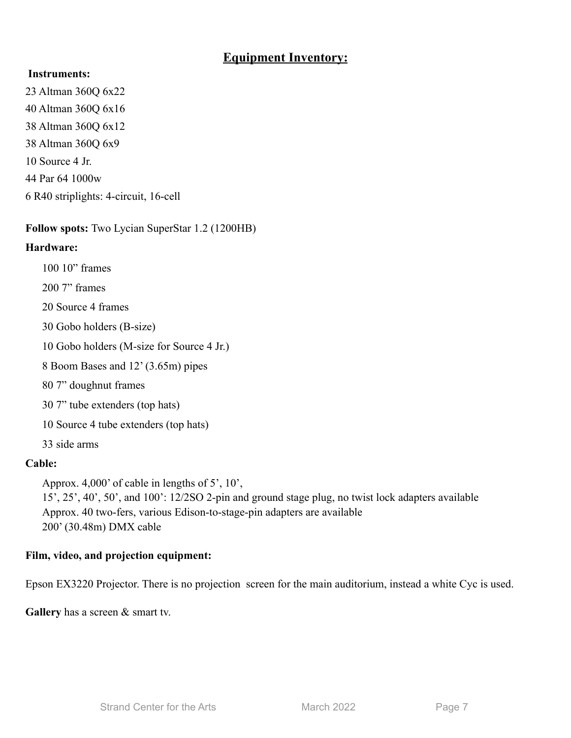# **Equipment Inventory:**

### **Instruments:**

23 Altman 360Q 6x22 40 Altman 360Q 6x16 38 Altman 360Q 6x12 38 Altman 360Q 6x9 10 Source 4 Jr. 44 Par 64 1000w 6 R40 striplights: 4-circuit, 16-cell

**Follow spots:** Two Lycian SuperStar 1.2 (1200HB)

# **Hardware:**

- 100 10" frames
- 200 7" frames
- 20 Source 4 frames
- 30 Gobo holders (B-size)
- 10 Gobo holders (M-size for Source 4 Jr.)
- 8 Boom Bases and 12' (3.65m) pipes
- 80 7" doughnut frames
- 30 7" tube extenders (top hats)
- 10 Source 4 tube extenders (top hats)
- 33 side arms

# **Cable:**

Approx. 4,000' of cable in lengths of 5', 10',

15', 25', 40', 50', and 100': 12/2SO 2-pin and ground stage plug, no twist lock adapters available Approx. 40 two-fers, various Edison-to-stage-pin adapters are available 200' (30.48m) DMX cable

# **Film, video, and projection equipment:**

Epson EX3220 Projector. There is no projection screen for the main auditorium, instead a white Cyc is used.

**Gallery** has a screen & smart tv.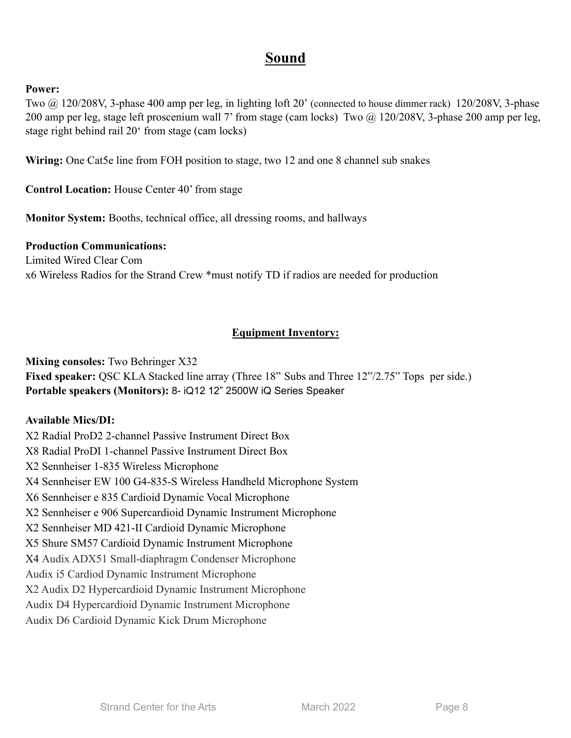# **Sound**

#### **Power:**

Two @ 120/208V, 3-phase 400 amp per leg, in lighting loft 20' (connected to house dimmer rack) 120/208V, 3-phase 200 amp per leg, stage left proscenium wall 7' from stage (cam locks) Two @ 120/208V, 3-phase 200 amp per leg, stage right behind rail 20' from stage (cam locks)

**Wiring:** One Cat5e line from FOH position to stage, two 12 and one 8 channel sub snakes

**Control Location:** House Center 40' from stage

**Monitor System:** Booths, technical office, all dressing rooms, and hallways

#### **Production Communications:**

Limited Wired Clear Com x6 Wireless Radios for the Strand Crew \*must notify TD if radios are needed for production

# **Equipment Inventory:**

**Mixing consoles:** Two Behringer X32

Fixed speaker: QSC KLA Stacked line array (Three 18" Subs and Three 12"/2.75" Tops per side.) **Portable speakers (Monitors):** 8- iQ12 12" 2500W iQ Series Speaker

#### **Available Mics/DI:**

X2 Radial ProD2 2-channel Passive Instrument Direct Box X8 Radial ProDI 1-channel Passive Instrument Direct Box X2 Sennheiser 1-835 Wireless Microphone X4 Sennheiser EW 100 G4-835-S Wireless Handheld Microphone System X6 Sennheiser e 835 Cardioid Dynamic Vocal Microphone X2 Sennheiser e 906 Supercardioid Dynamic Instrument Microphone X2 Sennheiser MD 421-II Cardioid Dynamic Microphone X5 Shure SM57 Cardioid Dynamic Instrument Microphone X4 Audix ADX51 Small-diaphragm Condenser Microphone Audix i5 Cardiod Dynamic Instrument Microphone X2 Audix D2 Hypercardioid Dynamic Instrument Microphone Audix D4 Hypercardioid Dynamic Instrument Microphone Audix D6 Cardioid Dynamic Kick Drum Microphone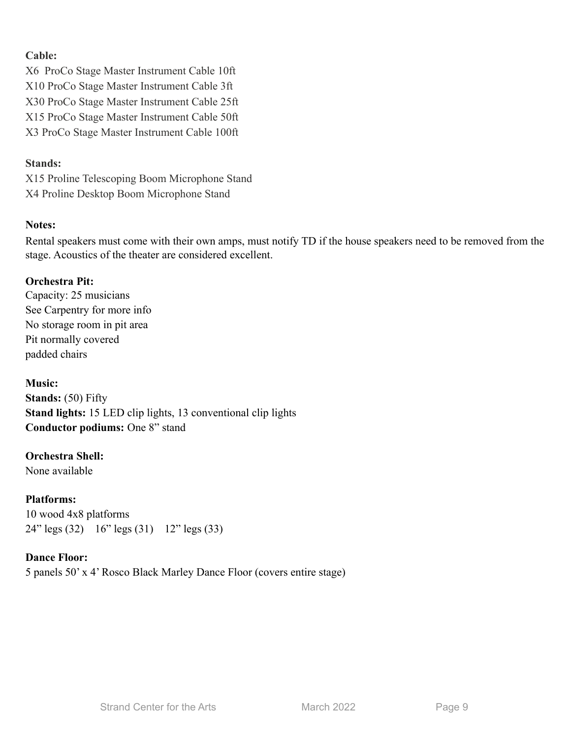# **Cable:**

X6 ProCo Stage Master Instrument Cable 10ft X10 ProCo Stage Master Instrument Cable 3ft X30 ProCo Stage Master Instrument Cable 25ft X15 ProCo Stage Master Instrument Cable 50ft X3 ProCo Stage Master Instrument Cable 100ft

# **Stands:**

X15 Proline Telescoping Boom Microphone Stand X4 Proline Desktop Boom Microphone Stand

# **Notes:**

Rental speakers must come with their own amps, must notify TD if the house speakers need to be removed from the stage. Acoustics of the theater are considered excellent.

# **Orchestra Pit:**

Capacity: 25 musicians See Carpentry for more info No storage room in pit area Pit normally covered padded chairs

# **Music:**

**Stands:** (50) Fifty **Stand lights:** 15 LED clip lights, 13 conventional clip lights **Conductor podiums:** One 8" stand

# **Orchestra Shell:**

None available

**Platforms:** 10 wood 4x8 platforms 24" legs (32) 16" legs (31) 12" legs (33)

# **Dance Floor:**

5 panels 50' x 4' Rosco Black Marley Dance Floor (covers entire stage)